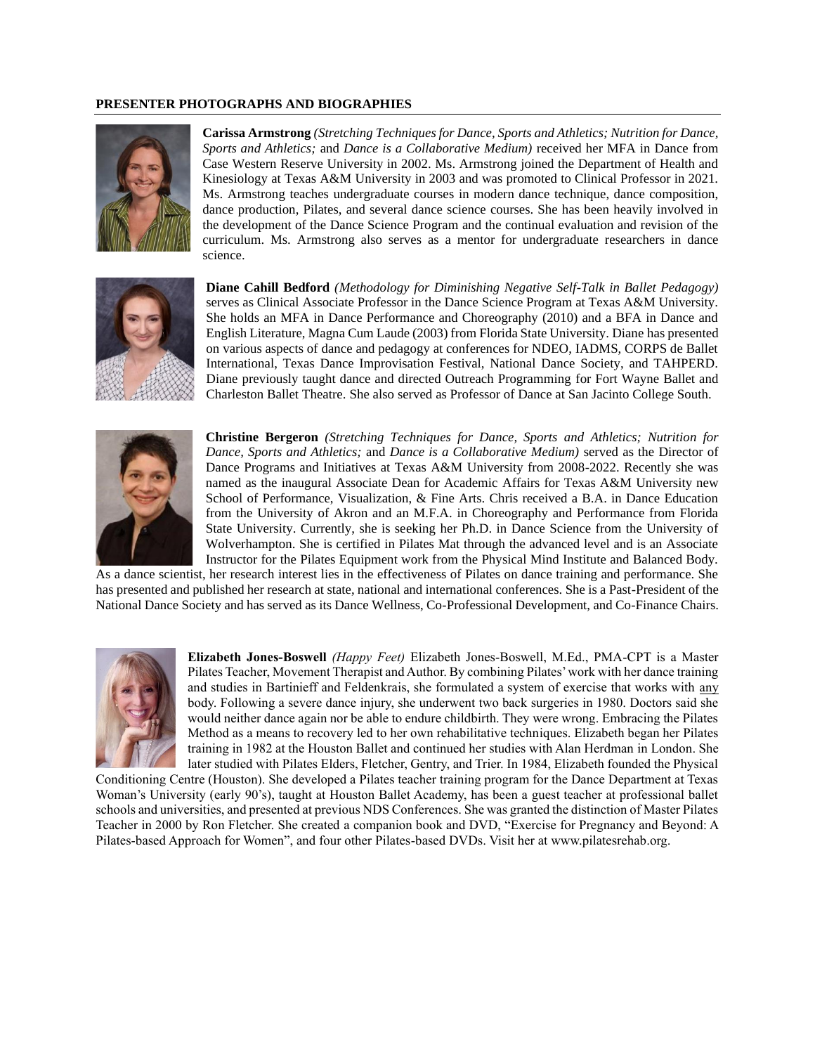## **PRESENTER PHOTOGRAPHS AND BIOGRAPHIES**



**Carissa Armstrong** *(Stretching Techniques for Dance, Sports and Athletics; Nutrition for Dance, Sports and Athletics;* and *Dance is a Collaborative Medium)* received her MFA in Dance from Case Western Reserve University in 2002. Ms. Armstrong joined the Department of Health and Kinesiology at Texas A&M University in 2003 and was promoted to Clinical Professor in 2021. Ms. Armstrong teaches undergraduate courses in modern dance technique, dance composition, dance production, Pilates, and several dance science courses. She has been heavily involved in the development of the Dance Science Program and the continual evaluation and revision of the curriculum. Ms. Armstrong also serves as a mentor for undergraduate researchers in dance science.



**Diane Cahill Bedford** *(Methodology for Diminishing Negative Self-Talk in Ballet Pedagogy)* serves as Clinical Associate Professor in the Dance Science Program at Texas A&M University. She holds an MFA in Dance Performance and Choreography (2010) and a BFA in Dance and English Literature, Magna Cum Laude (2003) from Florida State University. Diane has presented on various aspects of dance and pedagogy at conferences for NDEO, IADMS, CORPS de Ballet International, Texas Dance Improvisation Festival, National Dance Society, and TAHPERD. Diane previously taught dance and directed Outreach Programming for Fort Wayne Ballet and Charleston Ballet Theatre. She also served as Professor of Dance at San Jacinto College South.



**Christine Bergeron** *(Stretching Techniques for Dance, Sports and Athletics; Nutrition for Dance, Sports and Athletics;* and *Dance is a Collaborative Medium)* served as the Director of Dance Programs and Initiatives at Texas A&M University from 2008-2022. Recently she was named as the inaugural Associate Dean for Academic Affairs for Texas A&M University new School of Performance, Visualization, & Fine Arts. Chris received a B.A. in Dance Education from the University of Akron and an M.F.A. in Choreography and Performance from Florida State University. Currently, she is seeking her Ph.D. in Dance Science from the University of Wolverhampton. She is certified in Pilates Mat through the advanced level and is an Associate Instructor for the Pilates Equipment work from the Physical Mind Institute and Balanced Body.

As a dance scientist, her research interest lies in the effectiveness of Pilates on dance training and performance. She has presented and published her research at state, national and international conferences. She is a Past-President of the National Dance Society and has served as its Dance Wellness, Co-Professional Development, and Co-Finance Chairs.



**Elizabeth Jones-Boswell** *(Happy Feet)* Elizabeth Jones-Boswell, M.Ed., PMA-CPT is a Master Pilates Teacher, Movement Therapist and Author. By combining Pilates' work with her dance training and studies in Bartinieff and Feldenkrais, she formulated a system of exercise that works with any body. Following a severe dance injury, she underwent two back surgeries in 1980. Doctors said she would neither dance again nor be able to endure childbirth. They were wrong. Embracing the Pilates Method as a means to recovery led to her own rehabilitative techniques. Elizabeth began her Pilates training in 1982 at the Houston Ballet and continued her studies with Alan Herdman in London. She later studied with Pilates Elders, Fletcher, Gentry, and Trier. In 1984, Elizabeth founded the Physical

Conditioning Centre (Houston). She developed a Pilates teacher training program for the Dance Department at Texas Woman's University (early 90's), taught at Houston Ballet Academy, has been a guest teacher at professional ballet schools and universities, and presented at previous NDS Conferences. She was granted the distinction of Master Pilates Teacher in 2000 by Ron Fletcher. She created a companion book and DVD, "Exercise for Pregnancy and Beyond: A Pilates-based Approach for Women", and four other Pilates-based DVDs. Visit her at www.pilatesrehab.org.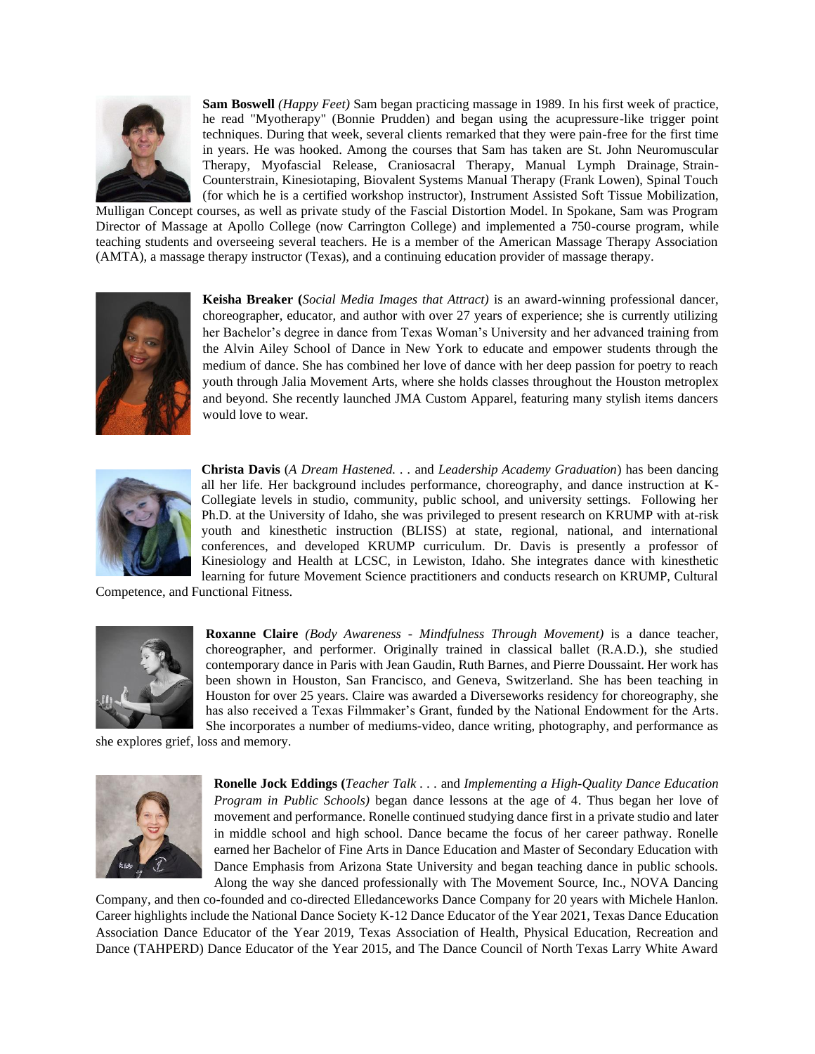

**Sam Boswell** *(Happy Feet)* Sam began practicing massage in 1989. In his first week of practice, he read "Myotherapy" (Bonnie Prudden) and began using the acupressure-like trigger point techniques. During that week, several clients remarked that they were pain-free for the first time in years. He was hooked. Among the courses that Sam has taken are St. John Neuromuscular Therapy, Myofascial Release, Craniosacral Therapy, Manual Lymph Drainage, Strain-Counterstrain, Kinesiotaping, Biovalent Systems Manual Therapy (Frank Lowen), Spinal Touch (for which he is a certified workshop instructor), Instrument Assisted Soft Tissue Mobilization,

Mulligan Concept courses, as well as private study of the Fascial Distortion Model. In Spokane, Sam was Program Director of Massage at Apollo College (now Carrington College) and implemented a 750-course program, while teaching students and overseeing several teachers. He is a member of the American Massage Therapy Association (AMTA), a massage therapy instructor (Texas), and a continuing education provider of massage therapy.



**Keisha Breaker (***Social Media Images that Attract)* is an award-winning professional dancer, choreographer, educator, and author with over 27 years of experience; she is currently utilizing her Bachelor's degree in dance from Texas Woman's University and her advanced training from the Alvin Ailey School of Dance in New York to educate and empower students through the medium of dance. She has combined her love of dance with her deep passion for poetry to reach youth through Jalia Movement Arts, where she holds classes throughout the Houston metroplex and beyond. She recently launched JMA Custom Apparel, featuring many stylish items dancers would love to wear.



**Christa Davis** (*A Dream Hastened. . .* and *Leadership Academy Graduation*) has been dancing all her life. Her background includes performance, choreography, and dance instruction at K-Collegiate levels in studio, community, public school, and university settings. Following her Ph.D. at the University of Idaho, she was privileged to present research on KRUMP with at-risk youth and kinesthetic instruction (BLISS) at state, regional, national, and international conferences, and developed KRUMP curriculum. Dr. Davis is presently a professor of Kinesiology and Health at LCSC, in Lewiston, Idaho. She integrates dance with kinesthetic learning for future Movement Science practitioners and conducts research on KRUMP, Cultural

Competence, and Functional Fitness.



**Roxanne Claire** *(Body Awareness - Mindfulness Through Movement)* is a dance teacher, choreographer, and performer. Originally trained in classical ballet (R.A.D.), she studied contemporary dance in Paris with Jean Gaudin, Ruth Barnes, and Pierre Doussaint. Her work has been shown in Houston, San Francisco, and Geneva, Switzerland. She has been teaching in Houston for over 25 years. Claire was awarded a Diverseworks residency for choreography, she has also received a Texas Filmmaker's Grant, funded by the National Endowment for the Arts. She incorporates a number of mediums-video, dance writing, photography, and performance as

she explores grief, loss and memory.



**Ronelle Jock Eddings (***Teacher Talk . . .* and *Implementing a High-Quality Dance Education Program in Public Schools)* began dance lessons at the age of 4. Thus began her love of movement and performance. Ronelle continued studying dance first in a private studio and later in middle school and high school. Dance became the focus of her career pathway. Ronelle earned her Bachelor of Fine Arts in Dance Education and Master of Secondary Education with Dance Emphasis from Arizona State University and began teaching dance in public schools. Along the way she danced professionally with The Movement Source, Inc., NOVA Dancing

Company, and then co-founded and co-directed Elledanceworks Dance Company for 20 years with Michele Hanlon. Career highlights include the National Dance Society K-12 Dance Educator of the Year 2021, Texas Dance Education Association Dance Educator of the Year 2019, Texas Association of Health, Physical Education, Recreation and Dance (TAHPERD) Dance Educator of the Year 2015, and The Dance Council of North Texas Larry White Award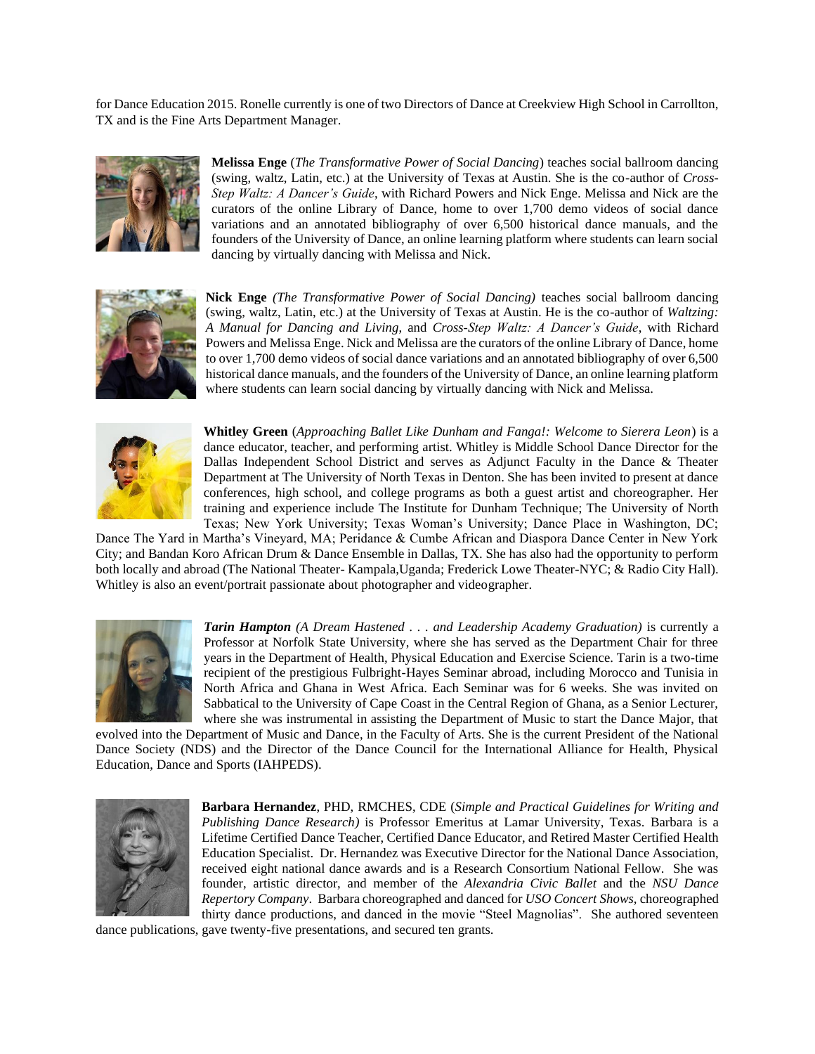for Dance Education 2015. Ronelle currently is one of two Directors of Dance at Creekview High School in Carrollton, TX and is the Fine Arts Department Manager.



**Melissa Enge** (*The Transformative Power of Social Dancing*) teaches social ballroom dancing (swing, waltz, Latin, etc.) at the University of Texas at Austin. She is the co-author of *Cross-Step Waltz: A Dancer's Guide*, with Richard Powers and Nick Enge. Melissa and Nick are the curators of the online Library of Dance, home to over 1,700 demo videos of social dance variations and an annotated bibliography of over 6,500 historical dance manuals, and the founders of the University of Dance, an online learning platform where students can learn social dancing by virtually dancing with Melissa and Nick.



**Nick Enge** *(The Transformative Power of Social Dancing)* teaches social ballroom dancing (swing, waltz, Latin, etc.) at the University of Texas at Austin. He is the co-author of *Waltzing: A Manual for Dancing and Living*, and *Cross-Step Waltz: A Dancer's Guide*, with Richard Powers and Melissa Enge. Nick and Melissa are the curators of the online Library of Dance, home to over 1,700 demo videos of social dance variations and an annotated bibliography of over 6,500 historical dance manuals, and the founders of the University of Dance, an online learning platform where students can learn social dancing by virtually dancing with Nick and Melissa.



**Whitley Green** (*Approaching Ballet Like Dunham and Fanga!: Welcome to Sierera Leon*) is a dance educator, teacher, and performing artist. Whitley is Middle School Dance Director for the Dallas Independent School District and serves as Adjunct Faculty in the Dance & Theater Department at The University of North Texas in Denton. She has been invited to present at dance conferences, high school, and college programs as both a guest artist and choreographer. Her training and experience include The Institute for Dunham Technique; The University of North Texas; New York University; Texas Woman's University; Dance Place in Washington, DC;

Dance The Yard in Martha's Vineyard, MA; Peridance & Cumbe African and Diaspora Dance Center in New York City; and Bandan Koro African Drum & Dance Ensemble in Dallas, TX. She has also had the opportunity to perform both locally and abroad (The National Theater- Kampala,Uganda; Frederick Lowe Theater-NYC; & Radio City Hall). Whitley is also an event/portrait passionate about photographer and videographer.



*Tarin Hampton (A Dream Hastened . . . and Leadership Academy Graduation)* is currently a Professor at Norfolk State University, where she has served as the Department Chair for three years in the Department of Health, Physical Education and Exercise Science. Tarin is a two-time recipient of the prestigious Fulbright-Hayes Seminar abroad, including Morocco and Tunisia in North Africa and Ghana in West Africa. Each Seminar was for 6 weeks. She was invited on Sabbatical to the University of Cape Coast in the Central Region of Ghana, as a Senior Lecturer, where she was instrumental in assisting the Department of Music to start the Dance Major, that

evolved into the Department of Music and Dance, in the Faculty of Arts. She is the current President of the National Dance Society (NDS) and the Director of the Dance Council for the International Alliance for Health, Physical Education, Dance and Sports (IAHPEDS).



**Barbara Hernandez**, PHD, RMCHES, CDE (*Simple and Practical Guidelines for Writing and Publishing Dance Research)* is Professor Emeritus at Lamar University, Texas. Barbara is a Lifetime Certified Dance Teacher, Certified Dance Educator, and Retired Master Certified Health Education Specialist. Dr. Hernandez was Executive Director for the National Dance Association, received eight national dance awards and is a Research Consortium National Fellow. She was founder, artistic director, and member of the *Alexandria Civic Ballet* and the *NSU Dance Repertory Company*. Barbara choreographed and danced for *USO Concert Shows,* choreographed thirty dance productions, and danced in the movie "Steel Magnolias". She authored seventeen

dance publications, gave twenty-five presentations, and secured ten grants.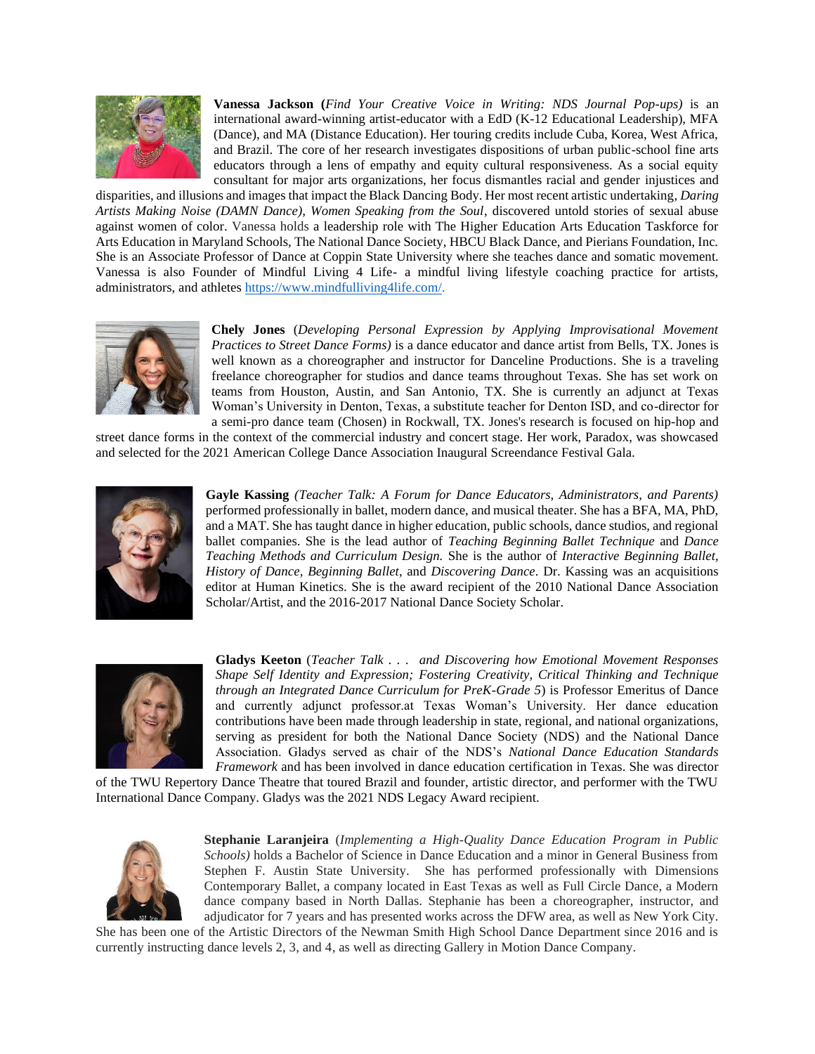

**Vanessa Jackson (***Find Your Creative Voice in Writing: NDS Journal Pop-ups)* is an international award-winning artist-educator with a EdD (K-12 Educational Leadership), MFA (Dance), and MA (Distance Education). Her touring credits include Cuba, Korea, West Africa, and Brazil. The core of her research investigates dispositions of urban public-school fine arts educators through a lens of empathy and equity cultural responsiveness. As a social equity consultant for major arts organizations, her focus dismantles racial and gender injustices and

disparities, and illusions and images that impact the Black Dancing Body. Her most recent artistic undertaking, *Daring Artists Making Noise (DAMN Dance), Women Speaking from the Soul*, discovered untold stories of sexual abuse against women of color. Vanessa holds a leadership role with The Higher Education Arts Education Taskforce for Arts Education in Maryland Schools, The National Dance Society, HBCU Black Dance, and Pierians Foundation, Inc. She is an Associate Professor of Dance at Coppin State University where she teaches dance and somatic movement. Vanessa is also Founder of Mindful Living 4 Life- a mindful living lifestyle coaching practice for artists, administrators, and athletes [https://www.mindfulliving4life.com/.](about:blank)



**Chely Jones** (*Developing Personal Expression by Applying Improvisational Movement Practices to Street Dance Forms)* is a dance educator and dance artist from Bells, TX. Jones is well known as a choreographer and instructor for Danceline Productions. She is a traveling freelance choreographer for studios and dance teams throughout Texas. She has set work on teams from Houston, Austin, and San Antonio, TX. She is currently an adjunct at Texas Woman's University in Denton, Texas, a substitute teacher for Denton ISD, and co-director for a semi-pro dance team (Chosen) in Rockwall, TX. Jones's research is focused on hip-hop and

street dance forms in the context of the commercial industry and concert stage. Her work, Paradox, was showcased and selected for the 2021 American College Dance Association Inaugural Screendance Festival Gala.



**Gayle Kassing** *(Teacher Talk: A Forum for Dance Educators, Administrators, and Parents)* performed professionally in ballet, modern dance, and musical theater. She has a BFA, MA, PhD, and a MAT. She has taught dance in higher education, public schools, dance studios, and regional ballet companies. She is the lead author of *Teaching Beginning Ballet Technique* and *Dance Teaching Methods and Curriculum Design.* She is the author of *Interactive Beginning Ballet, History of Dance, Beginning Ballet*, and *Discovering Dance*. Dr. Kassing was an acquisitions editor at Human Kinetics. She is the award recipient of the 2010 National Dance Association Scholar/Artist, and the 2016-2017 National Dance Society Scholar.



**Gladys Keeton** (*Teacher Talk . . . and Discovering how Emotional Movement Responses Shape Self Identity and Expression; Fostering Creativity, Critical Thinking and Technique through an Integrated Dance Curriculum for PreK-Grade 5*) is Professor Emeritus of Dance and currently adjunct professor.at Texas Woman's University. Her dance education contributions have been made through leadership in state, regional, and national organizations, serving as president for both the National Dance Society (NDS) and the National Dance Association. Gladys served as chair of the NDS's *National Dance Education Standards Framework* and has been involved in dance education certification in Texas. She was director

of the TWU Repertory Dance Theatre that toured Brazil and founder, artistic director, and performer with the TWU International Dance Company. Gladys was the 2021 NDS Legacy Award recipient.



**Stephanie Laranjeira** (*Implementing a High-Quality Dance Education Program in Public Schools)* holds a Bachelor of Science in Dance Education and a minor in General Business from Stephen F. Austin State University. She has performed professionally with Dimensions Contemporary Ballet, a company located in East Texas as well as Full Circle Dance, a Modern dance company based in North Dallas. Stephanie has been a choreographer, instructor, and adjudicator for 7 years and has presented works across the DFW area, as well as New York City.

She has been one of the Artistic Directors of the Newman Smith High School Dance Department since 2016 and is currently instructing dance levels 2, 3, and 4, as well as directing Gallery in Motion Dance Company.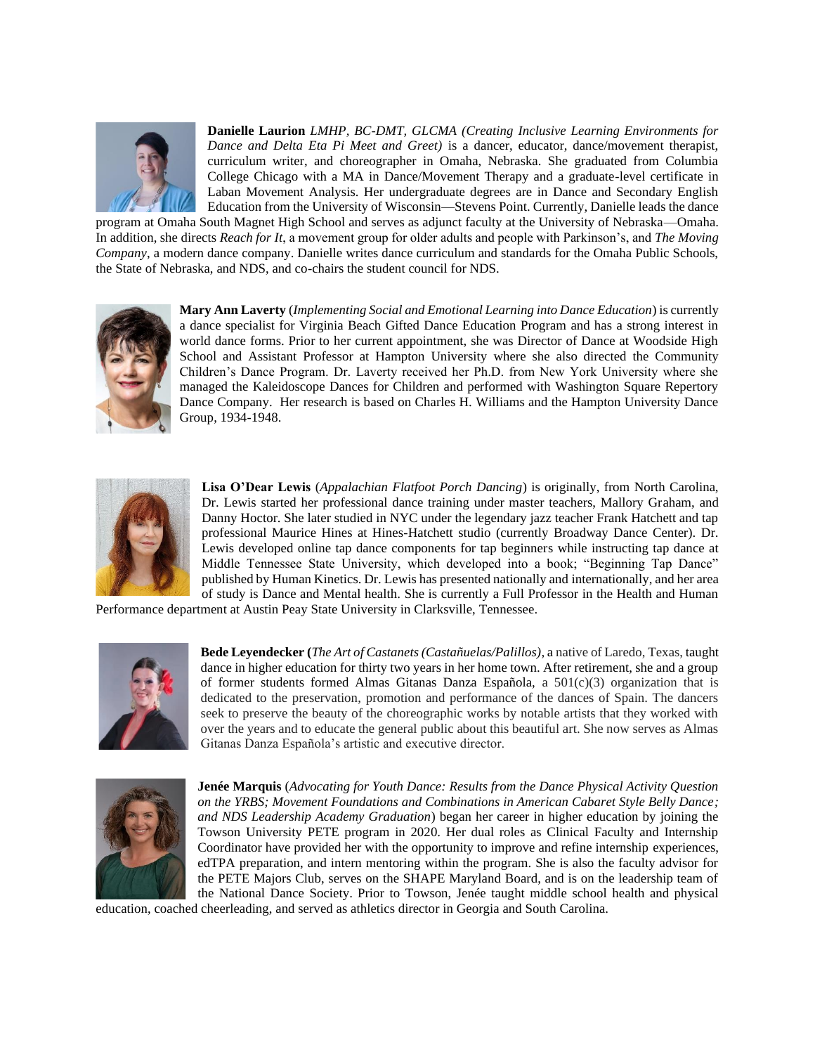

**Danielle Laurion** *LMHP, BC-DMT, GLCMA (Creating Inclusive Learning Environments for Dance and Delta Eta Pi Meet and Greet)* is a dancer, educator, dance/movement therapist, curriculum writer, and choreographer in Omaha, Nebraska. She graduated from Columbia College Chicago with a MA in Dance/Movement Therapy and a graduate-level certificate in Laban Movement Analysis. Her undergraduate degrees are in Dance and Secondary English Education from the University of Wisconsin—Stevens Point. Currently, Danielle leads the dance

program at Omaha South Magnet High School and serves as adjunct faculty at the University of Nebraska—Omaha. In addition, she directs *Reach for It*, a movement group for older adults and people with Parkinson's, and *The Moving Company*, a modern dance company. Danielle writes dance curriculum and standards for the Omaha Public Schools, the State of Nebraska, and NDS, and co-chairs the student council for NDS.



**Mary Ann Laverty** (*Implementing Social and Emotional Learning into Dance Education*) is currently a dance specialist for Virginia Beach Gifted Dance Education Program and has a strong interest in world dance forms. Prior to her current appointment, she was Director of Dance at Woodside High School and Assistant Professor at Hampton University where she also directed the Community Children's Dance Program. Dr. Laverty received her Ph.D. from New York University where she managed the Kaleidoscope Dances for Children and performed with Washington Square Repertory Dance Company. Her research is based on Charles H. Williams and the Hampton University Dance Group, 1934-1948.



**Lisa O'Dear Lewis** (*Appalachian Flatfoot Porch Dancing*) is originally, from North Carolina, Dr. Lewis started her professional dance training under master teachers, Mallory Graham, and Danny Hoctor. She later studied in NYC under the legendary jazz teacher Frank Hatchett and tap professional Maurice Hines at Hines-Hatchett studio (currently Broadway Dance Center). Dr. Lewis developed online tap dance components for tap beginners while instructing tap dance at Middle Tennessee State University, which developed into a book; "Beginning Tap Dance" published by Human Kinetics. Dr. Lewis has presented nationally and internationally, and her area of study is Dance and Mental health. She is currently a Full Professor in the Health and Human

Performance department at Austin Peay State University in Clarksville, Tennessee.



**Bede Leyendecker (***The Art of Castanets (Castañuelas/Palillos),* a native of Laredo, Texas, taught dance in higher education for thirty two years in her home town. After retirement, she and a group of former students formed Almas Gitanas Danza Española, a  $501(c)(3)$  organization that is dedicated to the preservation, promotion and performance of the dances of Spain. The dancers seek to preserve the beauty of the choreographic works by notable artists that they worked with over the years and to educate the general public about this beautiful art. She now serves as Almas Gitanas Danza Española's artistic and executive director.



**Jenée Marquis** (*Advocating for Youth Dance: Results from the Dance Physical Activity Question on the YRBS; Movement Foundations and Combinations in American Cabaret Style Belly Dance; and NDS Leadership Academy Graduation*) began her career in higher education by joining the Towson University PETE program in 2020. Her dual roles as Clinical Faculty and Internship Coordinator have provided her with the opportunity to improve and refine internship experiences, edTPA preparation, and intern mentoring within the program. She is also the faculty advisor for the PETE Majors Club, serves on the SHAPE Maryland Board, and is on the leadership team of the National Dance Society. Prior to Towson, Jenée taught middle school health and physical

education, coached cheerleading, and served as athletics director in Georgia and South Carolina.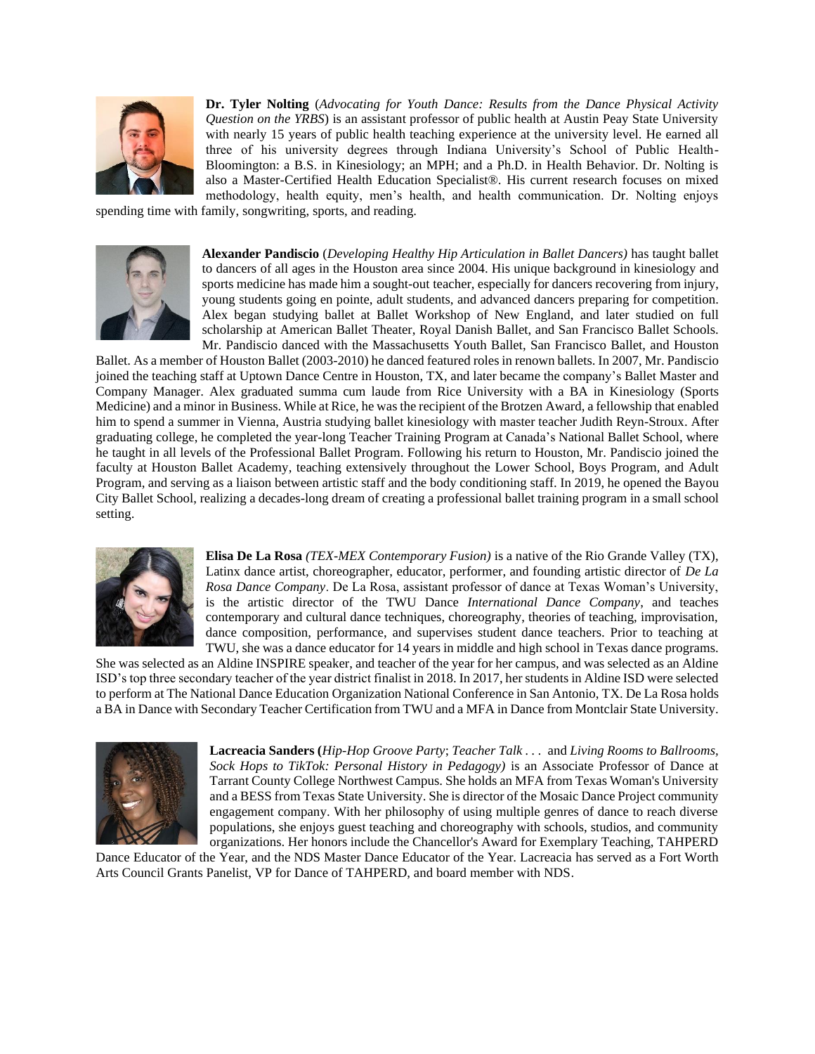

**Dr. Tyler Nolting** (*Advocating for Youth Dance: Results from the Dance Physical Activity Question on the YRBS*) is an assistant professor of public health at Austin Peay State University with nearly 15 years of public health teaching experience at the university level. He earned all three of his university degrees through Indiana University's School of Public Health-Bloomington: a B.S. in Kinesiology; an MPH; and a Ph.D. in Health Behavior. Dr. Nolting is also a Master-Certified Health Education Specialist®. His current research focuses on mixed methodology, health equity, men's health, and health communication. Dr. Nolting enjoys

spending time with family, songwriting, sports, and reading.



**Alexander Pandiscio** (*Developing Healthy Hip Articulation in Ballet Dancers)* has taught ballet to dancers of all ages in the Houston area since 2004. His unique background in kinesiology and sports medicine has made him a sought-out teacher, especially for dancers recovering from injury, young students going en pointe, adult students, and advanced dancers preparing for competition. Alex began studying ballet at Ballet Workshop of New England, and later studied on full scholarship at American Ballet Theater, Royal Danish Ballet, and San Francisco Ballet Schools. Mr. Pandiscio danced with the Massachusetts Youth Ballet, San Francisco Ballet, and Houston

Ballet. As a member of Houston Ballet (2003-2010) he danced featured roles in renown ballets. In 2007, Mr. Pandiscio joined the teaching staff at Uptown Dance Centre in Houston, TX, and later became the company's Ballet Master and Company Manager. Alex graduated summa cum laude from Rice University with a BA in Kinesiology (Sports Medicine) and a minor in Business. While at Rice, he was the recipient of the Brotzen Award, a fellowship that enabled him to spend a summer in Vienna, Austria studying ballet kinesiology with master teacher Judith Reyn-Stroux. After graduating college, he completed the year-long Teacher Training Program at Canada's National Ballet School, where he taught in all levels of the Professional Ballet Program. Following his return to Houston, Mr. Pandiscio joined the faculty at Houston Ballet Academy, teaching extensively throughout the Lower School, Boys Program, and Adult Program, and serving as a liaison between artistic staff and the body conditioning staff. In 2019, he opened the Bayou City Ballet School, realizing a decades-long dream of creating a professional ballet training program in a small school setting.



**Elisa De La Rosa** *(TEX-MEX Contemporary Fusion)* is a native of the Rio Grande Valley (TX), Latinx dance artist, choreographer, educator, performer, and founding artistic director of *De La Rosa Dance Company*. De La Rosa, assistant professor of dance at Texas Woman's University, is the artistic director of the TWU Dance *International Dance Company*, and teaches contemporary and cultural dance techniques, choreography, theories of teaching, improvisation, dance composition, performance, and supervises student dance teachers. Prior to teaching at TWU, she was a dance educator for 14 years in middle and high school in Texas dance programs.

She was selected as an Aldine INSPIRE speaker, and teacher of the year for her campus, and was selected as an Aldine ISD's top three secondary teacher of the year district finalist in 2018. In 2017, her students in Aldine ISD were selected to perform at The National Dance Education Organization National Conference in San Antonio, TX. De La Rosa holds a BA in Dance with Secondary Teacher Certification from TWU and a MFA in Dance from Montclair State University.



**Lacreacia Sanders (***Hip-Hop Groove Party*; *Teacher Talk . . .* and *Living Rooms to Ballrooms, Sock Hops to TikTok: Personal History in Pedagogy)* is an Associate Professor of Dance at Tarrant County College Northwest Campus. She holds an MFA from Texas Woman's University and a BESS from Texas State University. She is director of the Mosaic Dance Project community engagement company. With her philosophy of using multiple genres of dance to reach diverse populations, she enjoys guest teaching and choreography with schools, studios, and community organizations. Her honors include the Chancellor's Award for Exemplary Teaching, TAHPERD

Dance Educator of the Year, and the NDS Master Dance Educator of the Year. Lacreacia has served as a Fort Worth Arts Council Grants Panelist, VP for Dance of TAHPERD, and board member with NDS.